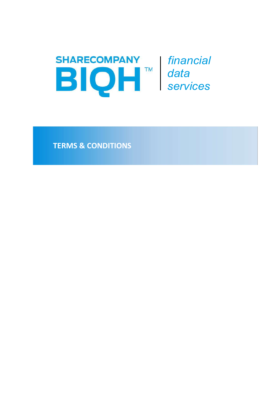

financial data services

TERMS & CONDITIONS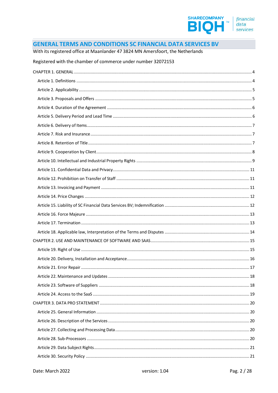

#### **GENERAL TERMS AND CONDITIONS SC FINANCIAL DATA SERVICES BV**

#### With its registered office at Maanlander 47 3824 MN Amersfoort, the Netherlands

#### Registered with the chamber of commerce under number 32072153

| . 18 |
|------|
|      |
|      |
|      |
|      |
|      |
|      |
|      |
|      |
|      |
|      |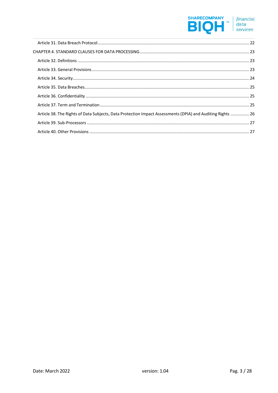# SHARECOMPANY *financial*<br>
■ *data data services*

| Article 38. The Rights of Data Subjects, Data Protection Impact Assessments (DPIA) and Auditing Rights  26 |  |
|------------------------------------------------------------------------------------------------------------|--|
|                                                                                                            |  |
|                                                                                                            |  |
|                                                                                                            |  |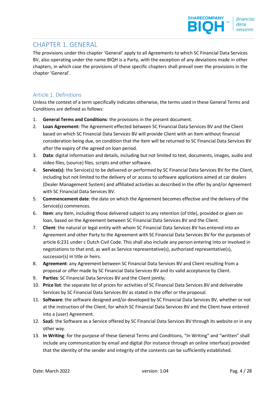# CHAPTER 1. GENERAL

The provisions under this chapter 'General' apply to all Agreements to which SC Financial Data Services BV, also operating under the name BIQH is a Party, with the exception of any deviations made in other chapters, in which case the provisions of these specific chapters shall prevail over the provisions in the chapter 'General'.

#### Article 1. Definitions

Unless the context of a term specifically indicates otherwise, the terms used in these General Terms and Conditions are defined as follows:

- 1. General Terms and Conditions: the provisions in the present document.
- 2. Loan Agreement: The Agreement effected between SC Financial Data Services BV and the Client based on which SC Financial Data Services BV will provide Client with an Item without financial consideration being due, on condition that the Item will be returned to SC Financial Data Services BV after the expiry of the agreed on loan period.
- 3. Data: digital information and details, including but not limited to text, documents, images, audio and video files, (source) files, scripts and other software.
- 4. Service(s): the Service(s) to be delivered or performed by SC Financial Data Services BV for the Client, including but not limited to the delivery of or access to software applications aimed at car dealers (Dealer Management System) and affiliated activities as described in the offer by and/or Agreement with SC Financial Data Services BV.
- 5. Commencement date: the date on which the Agreement becomes effective and the delivery of the Service(s) commences.
- 6. Item: any Item, including those delivered subject to any retention (of title), provided or given on loan, based on the Agreement between SC Financial Data Services BV and the Client.
- 7. Client: the natural or legal entity with whom SC Financial Data Services BV has entered into an Agreement and other Party to the Agreement with SC Financial Data Services BV for the purposes of article 6:231 under c Dutch Civil Code. This shall also include any person entering into or involved in negotiations to that end, as well as Service representative(s), authorized representative(s), successor(s) in title or heirs.
- 8. Agreement: any Agreement between SC Financial Data Services BV and Client resulting from a proposal or offer made by SC Financial Data Services BV and its valid acceptance by Client.
- 9. Parties: SC Financial Data Services BV and the Client jointly;
- 10. Price list: the separate list of prices for activities of SC Financial Data Services BV and deliverable Services by SC Financial Data Services BV as stated in the offer or the proposal.
- 11. Software: the software designed and/or developed by SC Financial Data Services BV, whether or not at the instruction of the Client, for which SC Financial Data Services BV and the Client have entered into a (user) Agreement.
- 12. SaaS: the Software as a Service offered by SC Financial Data Services BV through its website or in any other way.
- 13. In Writing: for the purpose of these General Terms and Conditions, "In Writing" and "written" shall include any communication by email and digital (for instance through an online interface) provided that the identity of the sender and integrity of the contents can be sufficiently established.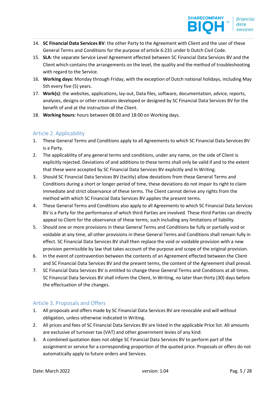- 14. SC Financial Data Services BV: the other Party to the Agreement with Client and the user of these General Terms and Conditions for the purpose of article 6:231 under b Dutch Civil Code.
- 15. SLA: the separate Service Level Agreement effected between SC Financial Data Services BV and the Client which contains the arrangements on the level, the quality and the method of troubleshooting with regard to the Service.
- 16. Working days: Monday through Friday, with the exception of Dutch national holidays, including May 5th every five (5) years.
- 17. Work(s): the websites, applications, lay-out, Data files, software, documentation, advice, reports, analyses, designs or other creations developed or designed by SC Financial Data Services BV for the benefit of and at the instruction of the Client.
- 18. Working hours: hours between 08:00 and 18:00 on Working days.

## Article 2. Applicability

- 1. These General Terms and Conditions apply to all Agreements to which SC Financial Data Services BV is a Party.
- 2. The applicability of any general terms and conditions, under any name, on the side of Client is explicitly rejected. Deviations of and additions to these terms shall only be valid if and to the extent that these were accepted by SC Financial Data Services BV explicitly and In Writing.
- 3. Should SC Financial Data Services BV (tacitly) allow deviations from these General Terms and Conditions during a short or longer period of time, these deviations do not impair its right to claim immediate and strict observance of these terms. The Client cannot derive any rights from the method with which SC Financial Data Services BV applies the present terms.
- 4. These General Terms and Conditions also apply to all Agreements to which SC Financial Data Services BV is a Party for the performance of which third Parties are involved. These third Parties can directly appeal to Client for the observance of these terms, such including any limitations of liability.
- 5. Should one or more provisions in these General Terms and Conditions be fully or partially void or voidable at any time, all other provisions in these General Terms and Conditions shall remain fully in effect. SC Financial Data Services BV shall then replace the void or voidable provision with a new provision permissible by law that takes account of the purpose and scope of the original provision.
- 6. In the event of contravention between the contents of an Agreement effected between the Client and SC Financial Data Services BV and the present terms, the content of the Agreement shall prevail.
- 7. SC Financial Data Services BV is entitled to change these General Terms and Conditions at all times. SC Financial Data Services BV shall inform the Client, In Writing, no later than thirty (30) days before the effectuation of the changes.

## Article 3. Proposals and Offers

- 1. All proposals and offers made by SC Financial Data Services BV are revocable and will without obligation, unless otherwise indicated In Writing.
- 2. All prices and fees of SC Financial Data Services BV are listed in the applicable Price list. All amounts are exclusive of turnover tax (VAT) and other government levies of any kind.
- 3. A combined quotation does not oblige SC Financial Data Services BV to perform part of the assignment or service for a corresponding proportion of the quoted price. Proposals or offers do not automatically apply to future orders and Services.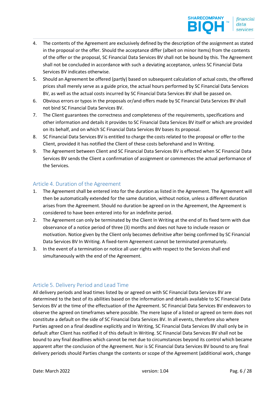- 4. The contents of the Agreement are exclusively defined by the description of the assignment as stated in the proposal or the offer. Should the acceptance differ (albeit on minor Items) from the contents of the offer or the proposal, SC Financial Data Services BV shall not be bound by this. The Agreement shall not be concluded in accordance with such a deviating acceptance, unless SC Financial Data Services BV indicates otherwise.
- 5. Should an Agreement be offered (partly) based on subsequent calculation of actual costs, the offered prices shall merely serve as a guide price, the actual hours performed by SC Financial Data Services BV, as well as the actual costs incurred by SC Financial Data Services BV shall be passed on.
- 6. Obvious errors or typos in the proposals or/and offers made by SC Financial Data Services BV shall not bind SC Financial Data Services BV.
- 7. The Client guarantees the correctness and completeness of the requirements, specifications and other information and details it provides to SC Financial Data Services BV itself or which are provided on its behalf, and on which SC Financial Data Services BV bases its proposal.
- 8. SC Financial Data Services BV is entitled to charge the costs related to the proposal or offer to the Client, provided it has notified the Client of these costs beforehand and In Writing.
- 9. The Agreement between Client and SC Financial Data Services BV is effected when SC Financial Data Services BV sends the Client a confirmation of assignment or commences the actual performance of the Services.

#### Article 4. Duration of the Agreement

- 1. The Agreement shall be entered into for the duration as listed in the Agreement. The Agreement will then be automatically extended for the same duration, without notice, unless a different duration arises from the Agreement. Should no duration be agreed on in the Agreement, the Agreement is considered to have been entered into for an indefinite period.
- 2. The Agreement can only be terminated by the Client In Writing at the end of its fixed term with due observance of a notice period of three (3) months and does not have to include reason or motivation. Notice given by the Client only becomes definitive after being confirmed by SC Financial Data Services BV In Writing. A fixed-term Agreement cannot be terminated prematurely.
- 3. In the event of a termination or notice all user rights with respect to the Services shall end simultaneously with the end of the Agreement.

#### Article 5. Delivery Period and Lead Time

All delivery periods and lead times listed by or agreed on with SC Financial Data Services BV are determined to the best of its abilities based on the information and details available to SC Financial Data Services BV at the time of the effectuation of the Agreement. SC Financial Data Services BV endeavors to observe the agreed on timeframes where possible. The mere lapse of a listed or agreed on term does not constitute a default on the side of SC Financial Data Services BV. In all events, therefore also where Parties agreed on a final deadline explicitly and In Writing, SC Financial Data Services BV shall only be in default after Client has notified it of this default In Writing. SC Financial Data Services BV shall not be bound to any final deadlines which cannot be met due to circumstances beyond its control which became apparent after the conclusion of the Agreement. Nor is SC Financial Data Services BV bound to any final delivery periods should Parties change the contents or scope of the Agreement (additional work, change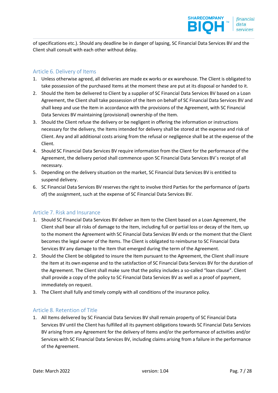of specifications etc.). Should any deadline be in danger of lapsing, SC Financial Data Services BV and the Client shall consult with each other without delay.

### Article 6. Delivery of Items

- 1. Unless otherwise agreed, all deliveries are made ex works or ex warehouse. The Client is obligated to take possession of the purchased Items at the moment these are put at its disposal or handed to it.
- 2. Should the Item be delivered to Client by a supplier of SC Financial Data Services BV based on a Loan Agreement, the Client shall take possession of the Item on behalf of SC Financial Data Services BV and shall keep and use the Item in accordance with the provisions of the Agreement, with SC Financial Data Services BV maintaining (provisional) ownership of the Item.
- 3. Should the Client refuse the delivery or be negligent in offering the information or instructions necessary for the delivery, the Items intended for delivery shall be stored at the expense and risk of Client. Any and all additional costs arising from the refusal or negligence shall be at the expense of the Client.
- 4. Should SC Financial Data Services BV require information from the Client for the performance of the Agreement, the delivery period shall commence upon SC Financial Data Services BV´s receipt of all necessary.
- 5. Depending on the delivery situation on the market, SC Financial Data Services BV is entitled to suspend delivery.
- 6. SC Financial Data Services BV reserves the right to involve third Parties for the performance of (parts of) the assignment, such at the expense of SC Financial Data Services BV.

#### Article 7. Risk and Insurance

- 1. Should SC Financial Data Services BV deliver an Item to the Client based on a Loan Agreement, the Client shall bear all risks of damage to the Item, including full or partial loss or decay of the Item, up to the moment the Agreement with SC Financial Data Services BV ends or the moment that the Client becomes the legal owner of the Items. The Client is obligated to reimburse to SC Financial Data Services BV any damage to the Item that emerged during the term of the Agreement.
- 2. Should the Client be obligated to insure the Item pursuant to the Agreement, the Client shall insure the Item at its own expense and to the satisfaction of SC Financial Data Services BV for the duration of the Agreement. The Client shall make sure that the policy includes a so-called "loan clause". Client shall provide a copy of the policy to SC Financial Data Services BV as well as a proof of payment, immediately on request.
- 3. The Client shall fully and timely comply with all conditions of the insurance policy.

#### Article 8. Retention of Title

1. All Items delivered by SC Financial Data Services BV shall remain property of SC Financial Data Services BV until the Client has fulfilled all its payment obligations towards SC Financial Data Services BV arising from any Agreement for the delivery of Items and/or the performance of activities and/or Services with SC Financial Data Services BV, including claims arising from a failure in the performance of the Agreement.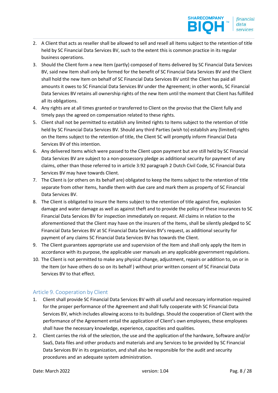- 2. A Client that acts as reseller shall be allowed to sell and resell all Items subject to the retention of title held by SC Financial Data Services BV, such to the extent this is common practice in its regular business operations.
- 3. Should the Client form a new Item (partly) composed of Items delivered by SC Financial Data Services BV, said new Item shall only be formed for the benefit of SC Financial Data Services BV and the Client shall hold the new Item on behalf of SC Financial Data Services BV until the Client has paid all amounts it owes to SC Financial Data Services BV under the Agreement; in other words, SC Financial Data Services BV retains all ownership rights of the new Item until the moment that Client has fulfilled all its obligations.
- 4. Any rights are at all times granted or transferred to Client on the proviso that the Client fully and timely pays the agreed on compensation related to these rights.
- 5. Client shall not be permitted to establish any limited rights to Items subject to the retention of title held by SC Financial Data Services BV. Should any third Parties (wish to) establish any (limited) rights on the Items subject to the retention of title, the Client SC will promptly inform Financial Data Services BV of this intention.
- 6. Any delivered Items which were passed to the Client upon payment but are still held by SC Financial Data Services BV are subject to a non-possessory pledge as additional security for payment of any claims, other than those referred to in article 3:92 paragraph 2 Dutch Civil Code, SC Financial Data Services BV may have towards Client.
- 7. The Client is (or others on its behalf are) obligated to keep the Items subject to the retention of title separate from other Items, handle them with due care and mark them as property of SC Financial Data Services BV.
- 8. The Client is obligated to insure the Items subject to the retention of title against fire, explosion damage and water damage as well as against theft and to provide the policy of these insurances to SC Financial Data Services BV for inspection immediately on request. All claims in relation to the aforementioned that the Client may have on the insurers of the Items, shall be silently pledged to SC Financial Data Services BV at SC Financial Data Services BV's request, as additional security for payment of any claims SC Financial Data Services BV has towards the Client.
- 9. The Client guarantees appropriate use and supervision of the Item and shall only apply the Item in accordance with its purpose, the applicable user manuals an any applicable government regulations.
- 10. The Client is not permitted to make any physical change, adjustment, repairs or addition to, on or in the Item (or have others do so on its behalf ) without prior written consent of SC Financial Data Services BV to that effect.

# Article 9. Cooperation by Client

- 1. Client shall provide SC Financial Data Services BV with all useful and necessary information required for the proper performance of the Agreement and shall fully cooperate with SC Financial Data Services BV, which includes allowing access to its buildings. Should the cooperation of Client with the performance of the Agreement entail the application of Client's own employees, these employees shall have the necessary knowledge, experience, capacities and qualities.
- 2. Client carries the risk of the selection, the use and the application of the hardware, Software and/or SaaS, Data files and other products and materials and any Services to be provided by SC Financial Data Services BV in its organization, and shall also be responsible for the audit and security procedures and an adequate system administration.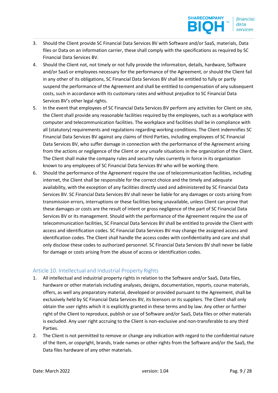- 3. Should the Client provide SC Financial Data Services BV with Software and/or SaaS, materials, Data files or Data on an information carrier, these shall comply with the specifications as required by SC Financial Data Services BV.
- 4. Should the Client not, not timely or not fully provide the information, details, hardware, Software and/or SaaS or employees necessary for the performance of the Agreement, or should the Client fail in any other of its obligations, SC Financial Data Services BV shall be entitled to fully or partly suspend the performance of the Agreement and shall be entitled to compensation of any subsequent costs, such in accordance with its customary rates and without prejudice to SC Financial Data Services BV's other legal rights.
- 5. In the event that employees of SC Financial Data Services BV perform any activities for Client on site, the Client shall provide any reasonable facilities required by the employees, such as a workplace with computer and telecommunication facilities. The workplace and facilities shall be in compliance with all (statutory) requirements and regulations regarding working conditions. The Client indemnifies SC Financial Data Services BV against any claims of third Parties, including employees of SC Financial Data Services BV, who suffer damage in connection with the performance of the Agreement arising from the actions or negligence of the Client or any unsafe situations in the organization of the Client. The Client shall make the company rules and security rules currently in force in its organization known to any employees of SC Financial Data Services BV who will be working there.
- 6. Should the performance of the Agreement require the use of telecommunication facilities, including internet, the Client shall be responsible for the correct choice and the timely and adequate availability, with the exception of any facilities directly used and administered by SC Financial Data Services BV. SC Financial Data Services BV shall never be liable for any damages or costs arising from transmission errors, interruptions or these facilities being unavailable, unless Client can prove that these damages or costs are the result of intent or gross negligence of the part of SC Financial Data Services BV or its management. Should with the performance of the Agreement require the use of telecommunication facilities, SC Financial Data Services BV shall be entitled to provide the Client with access and identification codes. SC Financial Data Services BV may change the assigned access and identification codes. The Client shall handle the access codes with confidentiality and care and shall only disclose these codes to authorized personnel. SC Financial Data Services BV shall never be liable for damage or costs arising from the abuse of access or identification codes.

#### Article 10. Intellectual and Industrial Property Rights

- 1. All intellectual and industrial property rights in relation to the Software and/or SaaS, Data files, hardware or other materials including analyses, designs, documentation, reports, course materials, offers, as well any preparatory material, developed or provided pursuant to the Agreement, shall be exclusively held by SC Financial Data Services BV, its licensors or its suppliers. The Client shall only obtain the user rights which it is explicitly granted in these terms and by law. Any other or further right of the Client to reproduce, publish or use of Software and/or SaaS, Data files or other materials is excluded. Any user right accruing to the Client is non-exclusive and non-transferable to any third Parties.
- 2. The Client is not permitted to remove or change any indication with regard to the confidential nature of the Item, or copyright, brands, trade names or other rights from the Software and/or the SaaS, the Data files hardware of any other materials.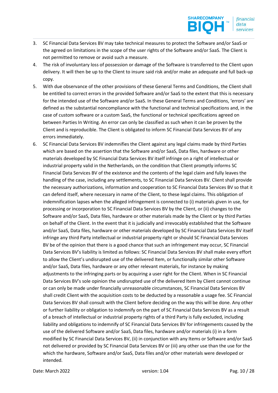- 3. SC Financial Data Services BV may take technical measures to protect the Software and/or SaaS or the agreed on limitations in the scope of the user rights of the Software and/or SaaS. The Client is not permitted to remove or avoid such a measure.
- 4. The risk of involuntary loss of possession or damage of the Software is transferred to the Client upon delivery. It will then be up to the Client to insure said risk and/or make an adequate and full back-up copy.
- 5. With due observance of the other provisions of these General Terms and Conditions, the Client shall be entitled to correct errors in the provided Software and/or SaaS to the extent that this is necessary for the intended use of the Software and/or SaaS. In these General Terms and Conditions, 'errors' are defined as the substantial noncompliance with the functional and technical specifications and, in the case of custom software or a custom SaaS, the functional or technical specifications agreed on between Parties In Writing. An error can only be classified as such when it can be proven by the Client and is reproducible. The Client is obligated to inform SC Financial Data Services BV of any errors immediately.
- 6. SC Financial Data Services BV indemnifies the Client against any legal claims made by third Parties which are based on the assertion that the Software and/or SaaS, Data files, hardware or other materials developed by SC Financial Data Services BV itself infringe on a right of intellectual or industrial property valid in the Netherlands, on the condition that Client promptly informs SC Financial Data Services BV of the existence and the contents of the legal claim and fully leaves the handling of the case, including any settlements, to SC Financial Data Services BV. Client shall provide the necessary authorizations, information and cooperation to SC Financial Data Services BV so that it can defend itself, where necessary in name of the Client, to these legal claims. This obligation of indemnification lapses when the alleged infringement is connected to (i) materials given in use, for processing or incorporation to SC Financial Data Services BV by the Client, or (ii) changes to the Software and/or SaaS, Data files, hardware or other materials made by the Client or by third Parties on behalf of the Client. In the event that it is judicially and irrevocably established that the Software and/or SaaS, Data files, hardware or other materials developed by SC Financial Data Services BV itself infringe any third Party intellectual or industrial property right or should SC Financial Data Services BV be of the opinion that there is a good chance that such an infringement may occur, SC Financial Data Services BV's liability is limited as follows: SC Financial Data Services BV shall make every effort to allow the Client's undisrupted use of the delivered Item, or functionally similar other Software and/or SaaS, Data files, hardware or any other relevant materials, for instance by making adjustments to the infringing parts or by acquiring a user right for the Client. When in SC Financial Data Services BV's sole opinion the undisrupted use of the delivered Item by Client cannot continue or can only be made under financially unreasonable circumstances, SC Financial Data Services BV shall credit Client with the acquisition costs to be deducted by a reasonable a usage fee. SC Financial Data Services BV shall consult with the Client before deciding on the way this will be done. Any other or further liability or obligation to indemnify on the part of SC Financial Data Services BV as a result of a breach of intellectual or industrial property rights of a third Party is fully excluded, including liability and obligations to indemnify of SC Financial Data Services BV for infringements caused by the use of the delivered Software and/or SaaS, Data files, hardware and/or materials (i) in a form modified by SC Financial Data Services BV, (ii) in conjunction with any Items or Software and/or SaaS not delivered or provided by SC Financial Data Services BV or (iii) any other use than the use for the which the hardware, Software and/or SaaS, Data files and/or other materials were developed or intended.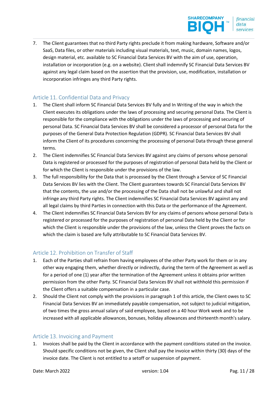7. The Client guarantees that no third Party rights preclude it from making hardware, Software and/or SaaS, Data files, or other materials including visual materials, text, music, domain names, logos, design material, etc. available to SC Financial Data Services BV with the aim of use, operation, installation or incorporation (e.g. on a website). Client shall indemnify SC Financial Data Services BV against any legal claim based on the assertion that the provision, use, modification, installation or incorporation infringes any third Party rights.

### Article 11. Confidential Data and Privacy

- 1. The Client shall inform SC Financial Data Services BV fully and In Writing of the way in which the Client executes its obligations under the laws of processing and securing personal Data. The Client is responsible for the compliance with the obligations under the laws of processing and securing of personal Data. SC Financial Data Services BV shall be considered a processor of personal Data for the purposes of the General Data Protection Regulation (GDPR). SC Financial Data Services BV shall inform the Client of its procedures concerning the processing of personal Data through these general terms.
- 2. The Client indemnifies SC Financial Data Services BV against any claims of persons whose personal Data is registered or processed for the purposes of registration of personal Data held by the Client or for which the Client is responsible under the provisions of the law.
- 3. The full responsibility for the Data that is processed by the Client through a Service of SC Financial Data Services BV lies with the Client. The Client guarantees towards SC Financial Data Services BV that the contents, the use and/or the processing of the Data shall not be unlawful and shall not infringe any third Party rights. The Client indemnifies SC Financial Data Services BV against any and all legal claims by third Parties in connection with this Data or the performance of the Agreement.
- 4. The Client indemnifies SC Financial Data Services BV for any claims of persons whose personal Data is registered or processed for the purposes of registration of personal Data held by the Client or for which the Client is responsible under the provisions of the law, unless the Client proves the facts on which the claim is based are fully attributable to SC Financial Data Services BV.

## Article 12. Prohibition on Transfer of Staff

- 1. Each of the Parties shall refrain from having employees of the other Party work for them or in any other way engaging them, whether directly or indirectly, during the term of the Agreement as well as for a period of one (1) year after the termination of the Agreement unless it obtains prior written permission from the other Party. SC Financial Data Services BV shall not withhold this permission if the Client offers a suitable compensation in a particular case.
- 2. Should the Client not comply with the provisions in paragraph 1 of this article, the Client owes to SC Financial Data Services BV an immediately payable compensation, not subject to judicial mitigation, of two times the gross annual salary of said employee, based on a 40 hour Work week and to be increased with all applicable allowances, bonuses, holiday allowances and thirteenth month's salary.

#### Article 13. Invoicing and Payment

1. Invoices shall be paid by the Client in accordance with the payment conditions stated on the invoice. Should specific conditions not be given, the Client shall pay the invoice within thirty (30) days of the invoice date. The Client is not entitled to a setoff or suspension of payment.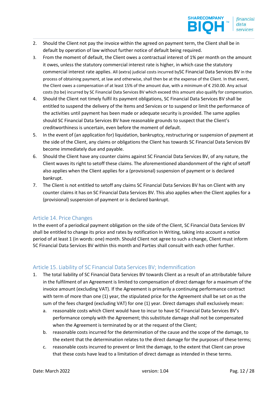- 2. Should the Client not pay the invoice within the agreed on payment term, the Client shall be in default by operation of law without further notice of default being required.
- 3. From the moment of default, the Client owes a contractual interest of 1% per month on the amount it owes, unless the statutory commercial interest rate is higher, in which case the statutory commercial interest rate applies. All (extra) judicial costs incurred bySC Financial Data Services BV in the process of obtaining payment, at law and otherwise, shall then be at the expense of the Client. In that event, the Client owes a compensation of at least 15% of the amount due, with a minimum of € 250.00. Any actual costs (to be) incurred by SC Financial Data Services BV which exceed this amount also qualify for compensation.
- 4. Should the Client not timely fulfil its payment obligations, SC Financial Data Services BV shall be entitled to suspend the delivery of the Items and Services or to suspend or limit the performance of the activities until payment has been made or adequate security is provided. The same applies should SC Financial Data Services BV have reasonable grounds to suspect that the Client's creditworthiness is uncertain, even before the moment of default.
- 5. In the event of (an application for) liquidation, bankruptcy, restructuring or suspension of payment at the side of the Client, any claims or obligations the Client has towards SC Financial Data Services BV become immediately due and payable.
- 6. Should the Client have any counter claims against SC Financial Data Services BV, of any nature, the Client waves its right to setoff these claims. The aforementioned abandonment of the right of setoff also applies when the Client applies for a (provisional) suspension of payment or is declared bankrupt.
- 7. The Client is not entitled to setoff any claims SC Financial Data Services BV has on Client with any counter claims it has on SC Financial Data Services BV. This also applies when the Client applies for a (provisional) suspension of payment or is declared bankrupt.

#### Article 14. Price Changes

In the event of a periodical payment obligation on the side of the Client, SC Financial Data Services BV shall be entitled to change its price and rates by notification In Writing, taking into account a notice period of at least 1 (in words: one) month. Should Client not agree to such a change, Client must inform SC Financial Data Services BV within this month and Parties shall consult with each other further.

## Article 15. Liability of SC Financial Data Services BV; Indemnification

- 1. The total liability of SC Financial Data Services BV towards Client as a result of an attributable failure in the fulfilment of an Agreement is limited to compensation of direct damage for a maximum of the invoice amount (excluding VAT). If the Agreement is primarily a continuing performance contract with term of more than one (1) year, the stipulated price for the Agreement shall be set on as the sum of the fees charged (excluding VAT) for one (1) year. Direct damages shall exclusively mean:
	- a. reasonable costs which Client would have to incur to have SC Financial Data Services BV's performance comply with the Agreement; this substitute damage shall not be compensated when the Agreement is terminated by or at the request of the Client;
	- b. reasonable costs incurred for the determination of the cause and the scope of the damage, to the extent that the determination relates to the direct damage for the purposes of these terms;
	- c. reasonable costs incurred to prevent or limit the damage, to the extent that Client can prove that these costs have lead to a limitation of direct damage as intended in these terms.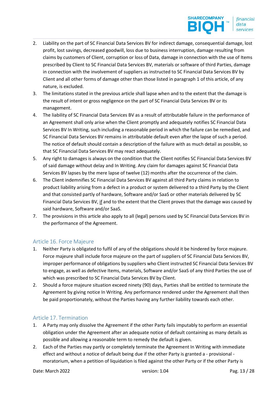- 2. Liability on the part of SC Financial Data Services BV for indirect damage, consequential damage, lost profit, lost savings, decreased goodwill, loss due to business interruption, damage resulting from claims by customers of Client, corruption or loss of Data, damage in connection with the use of Items prescribed by Client to SC Financial Data Services BV, materials or software of third Parties, damage in connection with the involvement of suppliers as instructed to SC Financial Data Services BV by Client and all other forms of damage other than those listed in paragraph 1 of this article, of any nature, is excluded.
- 3. The limitations stated in the previous article shall lapse when and to the extent that the damage is the result of intent or gross negligence on the part of SC Financial Data Services BV or its management.
- 4. The liability of SC Financial Data Services BV as a result of attributable failure in the performance of an Agreement shall only arise when the Client promptly and adequately notifies SC Financial Data Services BV In Writing, such including a reasonable period in which the failure can be remedied, and SC Financial Data Services BV remains in attributable default even after the lapse of such a period. The notice of default should contain a description of the failure with as much detail as possible, so that SC Financial Data Services BV may react adequately.
- 5. Any right to damages is always on the condition that the Client notifies SC Financial Data Services BV of said damage without delay and In Writing. Any claim for damages against SC Financial Data Services BV lapses by the mere lapse of twelve (12) months after the occurrence of the claim.
- 6. The Client indemnifies SC Financial Data Services BV against all third Party claims in relation to product liability arising from a defect in a product or system delivered to a third Party by the Client and that consisted partly of hardware, Software and/or SaaS or other materials delivered by SC Financial Data Services BV, if and to the extent that the Client proves that the damage was caused by said hardware, Software and/or SaaS.
- 7. The provisions in this article also apply to all (legal) persons used by SC Financial Data Services BV in the performance of the Agreement.

## Article 16. Force Majeure

- 1. Neither Party is obligated to fulfil of any of the obligations should it be hindered by force majeure. Force majeure shall include force majeure on the part of suppliers of SC Financial Data Services BV, improper performance of obligations by suppliers who Client instructed SC Financial Data Services BV to engage, as well as defective Items, materials, Software and/or SaaS of any third Parties the use of which was prescribed to SC Financial Data Services BV by Client.
- 2. Should a force majeure situation exceed ninety (90) days, Parties shall be entitled to terminate the Agreement by giving notice In Writing. Any performance rendered under the Agreement shall then be paid proportionately, without the Parties having any further liability towards each other.

#### Article 17. Termination

- 1. A Party may only dissolve the Agreement if the other Party fails imputably to perform an essential obligation under the Agreement after an adequate notice of default containing as many details as possible and allowing a reasonable term to remedy the default is given.
- 2. Each of the Parties may partly or completely terminate the Agreement In Writing with immediate effect and without a notice of default being due if the other Party is granted a - provisional moratorium, when a petition of liquidation is filed against the other Party or if the other Party is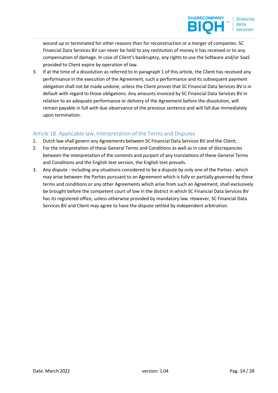wound up or terminated for other reasons than for reconstruction or a merger of companies. SC Financial Data Services BV can never be held to any restitution of money it has received or to any compensation of damage. In case of Client's bankruptcy, any rights to use the Software and/or SaaS provided to Client expire by operation of law.

3. If at the time of a dissolution as referred to in paragraph 1 of this article, the Client has received any performance in the execution of the Agreement, such a performance and its subsequent payment obligation shall not be made undone, unless the Client proves that SC Financial Data Services BV is in default with regard to those obligations. Any amounts invoiced by SC Financial Data Services BV in relation to an adequate performance or delivery of the Agreement before the dissolution, will remain payable in full with due observance of the previous sentence and will fall due immediately upon termination.

## Article 18. Applicable law, Interpretation of the Terms and Disputes

- 1. Dutch law shall govern any Agreements between SC Financial Data Services BV and the Client;
- 2. For the interpretation of these General Terms and Conditions as well as in case of discrepancies between the interpretation of the contents and purport of any translations of these General Terms and Conditions and the English text version, the English text prevails.
- 3. Any dispute including any situations considered to be a dispute by only one of the Parties which may arise between the Parties pursuant to an Agreement which is fully or partially governed by these terms and conditions or any other Agreements which arise from such an Agreement, shall exclusively be brought before the competent court of law in the district in which SC Financial Data Services BV has its registered office, unless otherwise provided by mandatory law. However, SC Financial Data Services BV and Client may agree to have the dispute settled by independent arbitration.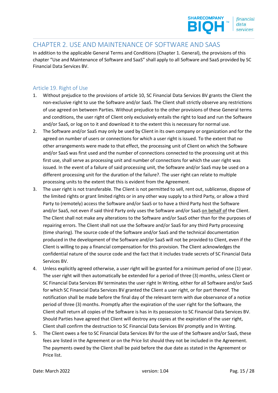

# CHAPTER 2. USE AND MAINTENANCE OF SOFTWARE AND SAAS

In addition to the applicable General Terms and Conditions (Chapter 1. General), the provisions of this chapter "Use and Maintenance of Software and SaaS" shall apply to all Software and SaaS provided by SC Financial Data Services BV.

### Article 19. Right of Use

- 1. Without prejudice to the provisions of article 10, SC Financial Data Services BV grants the Client the non-exclusive right to use the Software and/or SaaS. The Client shall strictly observe any restrictions of use agreed on between Parties. Without prejudice to the other provisions of these General terms and conditions, the user right of Client only exclusively entails the right to load and run the Software and/or SaaS, or log on to it and download it to the extent this is necessary for normal use.
- 2. The Software and/or SaaS may only be used by Client in its own company or organization and for the agreed on number of users or connections for which a user right is issued. To the extent that no other arrangements were made to that effect, the processing unit of Client on which the Software and/or SaaS was first used and the number of connections connected to the processing unit at this first use, shall serve as processing unit and number of connections for which the user right was issued. In the event of a failure of said processing unit, the Software and/or SaaS may be used on a different processing unit for the duration of the failure?. The user right can relate to multiple processing units to the extent that this is evident from the Agreement.
- 3. The user right is not transferable. The Client is not permitted to sell, rent out, sublicense, dispose of the limited rights or grant limited rights or in any other way supply to a third Party, or allow a third Party to (remotely) access the Software and/or SaaS or to have a third Party host the Software and/or SaaS, not even if said third Party only uses the Software and/or SaaS on behalf of the Client. The Client shall not make any alterations to the Software and/or SaaS other than for the purposes of repairing errors. The Client shall not use the Software and/or SaaS for any third Party processing (time sharing). The source code of the Software and/or SaaS and the technical documentation produced in the development of the Software and/or SaaS will not be provided to Client, even if the Client is willing to pay a financial compensation for this provision. The Client acknowledges the confidential nature of the source code and the fact that it includes trade secrets of SC Financial Data Services BV.
- 4. Unless explicitly agreed otherwise, a user right will be granted for a minimum period of one (1) year. The user right will then automatically be extended for a period of three (3) months, unless Client or SC Financial Data Services BV terminates the user right In Writing, either for all Software and/or SaaS for which SC Financial Data Services BV granted the Client a user right, or for part thereof. The notification shall be made before the final day of the relevant term with due observance of a notice period of three (3) months. Promptly after the expiration of the user right for the Software, the Client shall return all copies of the Software is has in its possession to SC Financial Data Services BV. Should Parties have agreed that Client will destroy any copies at the expiration of the user right, Client shall confirm the destruction to SC Financial Data Services BV promptly and In Writing.
- 5. The Client owes a fee to SC Financial Data Services BV for the use of the Software and/or SaaS, these fees are listed in the Agreement or on the Price list should they not be included in the Agreement. The payments owed by the Client shall be paid before the due date as stated in the Agreement or Price list.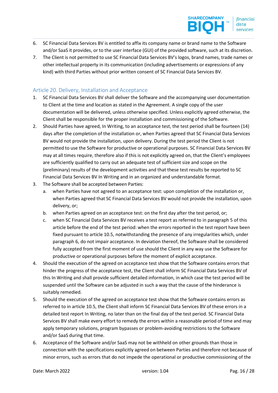- 6. SC Financial Data Services BV is entitled to affix its company name or brand name to the Software and/or SaaS it provides, or to the user interface (GUI) of the provided software, such at its discretion.
- 7. The Client is not permitted to use SC Financial Data Services BV's logos, brand names, trade names or other intellectual property in its communication (including advertisements or expressions of any kind) with third Parties without prior written consent of SC Financial Data Services BV.

### Article 20. Delivery, Installation and Acceptance

- 1. SC Financial Data Services BV shall deliver the Software and the accompanying user documentation to Client at the time and location as stated in the Agreement. A single copy of the user documentation will be delivered, unless otherwise specified. Unless explicitly agreed otherwise, the Client shall be responsible for the proper installation and commissioning of the Software.
- 2. Should Parties have agreed, In Writing, to an acceptance test, the test period shall be fourteen (14) days after the completion of the installation or, when Parties agreed that SC Financial Data Services BV would not provide the installation, upon delivery. During the test period the Client is not permitted to use the Software for productive or operational purposes. SC Financial Data Services BV may at all times require, therefore also if this is not explicitly agreed on, that the Client's employees are sufficiently qualified to carry out an adequate test of sufficient size and scope on the (preliminary) results of the development activities and that these test results be reported to SC Financial Data Services BV In Writing and in an organized and understandable format.
- 3. The Software shall be accepted between Parties:
	- a. when Parties have not agreed to an acceptance test: upon completion of the installation or, when Parties agreed that SC Financial Data Services BV would not provide the installation, upon delivery, or;
	- b. when Parties agreed on an acceptance test: on the first day after the test period, or;
	- c. when SC Financial Data Services BV receives a test report as referred to in paragraph 5 of this article before the end of the test period: when the errors reported in the test report have been fixed pursuant to article 10.5, notwithstanding the presence of any irregularities which, under paragraph 6, do not impair acceptance. In deviation thereof, the Software shall be considered fully accepted from the first moment of use should the Client in any way use the Software for productive or operational purposes before the moment of explicit acceptance.
- 4. Should the execution of the agreed on acceptance test show that the Software contains errors that hinder the progress of the acceptance test, the Client shall inform SC Financial Data Services BV of this In Writing and shall provide sufficient detailed information, in which case the test period will be suspended until the Software can be adjusted in such a way that the cause of the hinderance is suitably remedied.
- 5. Should the execution of the agreed on acceptance test show that the Software contains errors as referred to in article 10.5, the Client shall inform SC Financial Data Services BV of these errors in a detailed test report In Writing, no later than on the final day of the test period. SC Financial Data Services BV shall make every effort to remedy the errors within a reasonable period of time and may apply temporary solutions, program bypasses or problem-avoiding restrictions to the Software and/or SaaS during that time.
- 6. Acceptance of the Software and/or SaaS may not be withheld on other grounds than those in connection with the specifications explicitly agreed on between Parties and therefore not because of minor errors, such as errors that do not impede the operational or productive commissioning of the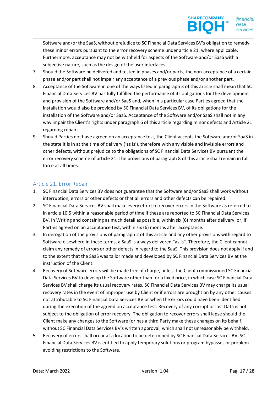Software and/or the SaaS, without prejudice to SC Financial Data Services BV's obligation to remedy these minor errors pursuant to the error recovery scheme under article 21, where applicable. Furthermore, acceptance may not be withheld for aspects of the Software and/or SaaS with a subjective nature, such as the design of the user interfaces.

- 7. Should the Software be delivered and tested in phases and/or parts, the non-acceptance of a certain phase and/or part shall not impair any acceptance of a previous phase and/or another part.
- 8. Acceptance of the Software in one of the ways listed in paragraph 3 of this article shall mean that SC Financial Data Services BV has fully fulfilled the performance of its obligations for the development and provision of the Software and/or SaaS and, when in a particular case Parties agreed that the installation would also be provided by SC Financial Data Services BV, of its obligations for the installation of the Software and/or SaaS. Acceptance of the Software and/or SaaS shall not in any way impair the Client's rights under paragraph 6 of this article regarding minor defects and Article 21 regarding repairs.
- 9. Should Parties not have agreed on an acceptance test, the Client accepts the Software and/or SaaS in the state it is in at the time of delivery ('as is'), therefore with any visible and invisible errors and other defects, without prejudice to the obligations of SC Financial Data Services BV pursuant the error recovery scheme of article 21. The provisions of paragraph 8 of this article shall remain in full force at all times.

## Article 21. Error Repair

- 1. SC Financial Data Services BV does not guarantee that the Software and/or SaaS shall work without interruption, errors or other defects or that all errors and other defects can be repaired.
- 2. SC Financial Data Services BV shall make every effort to recover errors in the Software as referred to in article 10.5 within a reasonable period of time if these are reported to SC Financial Data Services BV, In Writing and containing as much detail as possible, within six (6) months after delivery, or, if Parties agreed on an acceptance test, within six (6) months after acceptance.
- 3. In derogation of the provisions of paragraph 2 of this article and any other provisions with regard to Software elsewhere in these terms, a SaaS is always delivered "as is". Therefore, the Client cannot claim any remedy of errors or other defects in regard to the SaaS. This provision does not apply if and to the extent that the SaaS was tailor made and developed by SC Financial Data Services BV at the instruction of the Client.
- 4. Recovery of Software errors will be made free of charge, unless the Client commissioned SC Financial Data Services BV to develop the Software other than for a fixed price, in which case SC Financial Data Services BV shall charge its usual recovery rates. SC Financial Data Services BV may charge its usual recovery rates in the event of improper use by Client or if errors are brought on by any other causes not attributable to SC Financial Data Services BV or when the errors could have been identified during the execution of the agreed on acceptance test. Recovery of any corrupt or lost Data is not subject to the obligation of error recovery. The obligation to recover errors shall lapse should the Client make any changes to the Software (or has a third Party make these changes on its behalf) without SC Financial Data Services BV's written approval, which shall not unreasonably be withheld.
- 5. Recovery of errors shall occur at a location to be determined by SC Financial Data Services BV. SC Financial Data Services BV is entitled to apply temporary solutions or program bypasses or problemavoiding restrictions to the Software.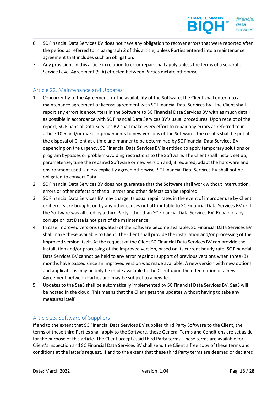- 6. SC Financial Data Services BV does not have any obligation to recover errors that were reported after the period as referred to in paragraph 2 of this article, unless Parties entered into a maintenance agreement that includes such an obligation.
- 7. Any provisions in this article in relation to error repair shall apply unless the terms of a separate Service Level Agreement (SLA) effected between Parties dictate otherwise.

## Article 22. Maintenance and Updates

- 1. Concurrently to the Agreement for the availability of the Software, the Client shall enter into a maintenance agreement or license agreement with SC Financial Data Services BV. The Client shall report any errors it encounters in the Software to SC Financial Data Services BV with as much detail as possible in accordance with SC Financial Data Services BV's usual procedures. Upon receipt of the report, SC Financial Data Services BV shall make every effort to repair any errors as referred to in article 10.5 and/or make improvements to new versions of the Software. The results shall be put at the disposal of Client at a time and manner to be determined by SC Financial Data Services BV depending on the urgency. SC Financial Data Services BV is entitled to apply temporary solutions or program bypasses or problem-avoiding restrictions to the Software. The Client shall install, set up, parameterize, tune the repaired Software or new version and, if required, adapt the hardware and environment used. Unless explicitly agreed otherwise, SC Financial Data Services BV shall not be obligated to convert Data.
- 2. SC Financial Data Services BV does not guarantee that the Software shall work without interruption, errors or other defects or that all errors and other defects can be repaired.
- 3. SC Financial Data Services BV may charge its usual repair rates in the event of improper use by Client or if errors are brought on by any other causes not attributable to SC Financial Data Services BV or if the Software was altered by a third Party other than SC Financial Data Services BV. Repair of any corrupt or lost Data is not part of the maintenance.
- 4. In case improved versions (updates) of the Software become available, SC Financial Data Services BV shall make these available to Client. The Client shall provide the installation and/or processing of the improved version itself. At the request of the Client SC Financial Data Services BV can provide the installation and/or processing of the improved version, based on its current hourly rate. SC Financial Data Services BV cannot be held to any error repair or support of previous versions when three (3) months have passed since an improved version was made available. A new version with new options and applications may be only be made available to the Client upon the effectuation of a new Agreement between Parties and may be subject to a new fee.
- 5. Updates to the SaaS shall be automatically implemented by SC Financial Data Services BV. SaaS will be hosted in the cloud. This means that the Client gets the updates without having to take any measures itself.

#### Article 23. Software of Suppliers

If and to the extent that SC Financial Data Services BV supplies third Party Software to the Client, the terms of these third Parties shall apply to the Software, these General Terms and Conditions are set aside for the purpose of this article. The Client accepts said third Party terms. These terms are available for Client's inspection and SC Financial Data Services BV shall send the Client a free copy of these terms and conditions at the latter's request. If and to the extent that these third Party terms are deemed or declared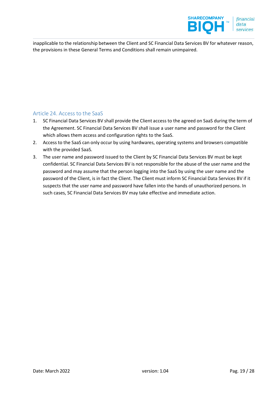

inapplicable to the relationship between the Client and SC Financial Data Services BV for whatever reason, the provisions in these General Terms and Conditions shall remain unimpaired.

## Article 24. Access to the SaaS

- 1. SC Financial Data Services BV shall provide the Client access to the agreed on SaaS during the term of the Agreement. SC Financial Data Services BV shall issue a user name and password for the Client which allows them access and configuration rights to the SaaS.
- 2. Access to the SaaS can only occur by using hardwares, operating systems and browsers compatible with the provided SaaS.
- 3. The user name and password issued to the Client by SC Financial Data Services BV must be kept confidential. SC Financial Data Services BV is not responsible for the abuse of the user name and the password and may assume that the person logging into the SaaS by using the user name and the password of the Client, is in fact the Client. The Client must inform SC Financial Data Services BV if it suspects that the user name and password have fallen into the hands of unauthorized persons. In such cases, SC Financial Data Services BV may take effective and immediate action.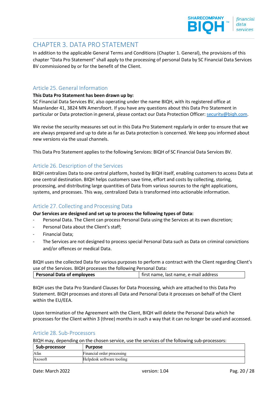# CHAPTER 3. DATA PRO STATEMENT

In addition to the applicable General Terms and Conditions (Chapter 1. General), the provisions of this chapter "Data Pro Statement" shall apply to the processing of personal Data by SC Financial Data Services BV commissioned by or for the benefit of the Client.

### Article 25. General Information

#### This Data Pro Statement has been drawn up by:

SC Financial Data Services BV, also operating under the name BIQH, with its registered office at Maanlander 41, 3824 MN Amersfoort. If you have any questions about this Data Pro Statement in particular or Data protection in general, please contact our Data Protection Officer: security@biqh.com.

We revise the security measures set out in this Data Pro Statement regularly in order to ensure that we are always prepared and up to date as far as Data protection is concerned. We keep you informed about new versions via the usual channels.

This Data Pro Statement applies to the following Services: BIQH of SC Financial Data Services BV.

#### Article 26. Description of the Services

BIQH centralizes Data to one central platform, hosted by BIQH itself, enabling customers to access Data at one central destination. BIQH helps customers save time, effort and costs by collecting, storing, processing, and distributing large quantities of Data from various sources to the right applications, systems, and processes. This way, centralized Data is transformed into actionable information.

#### Article 27. Collecting and Processing Data

Our Services are designed and set up to process the following types of Data:

- Personal Data. The Client can process Personal Data using the Services at its own discretion;
- Personal Data about the Client's staff;
- Financial Data;
- The Services are not designed to process special Personal Data such as Data on criminal convictions and/or offences or medical Data.

BIQH uses the collected Data for various purposes to perform a contract with the Client regarding Client's use of the Services. BIQH processes the following Personal Data:

| Personal Data of employees | first name, last name, e-mail address |
|----------------------------|---------------------------------------|
|                            |                                       |

BIQH uses the Data Pro Standard Clauses for Data Processing, which are attached to this Data Pro Statement. BIQH processes and stores all Data and Personal Data it processes on behalf of the Client within the EU/EEA.

Upon termination of the Agreement with the Client, BIQH will delete the Personal Data which he processes for the Client within 3 (three) months in such a way that it can no longer be used and accessed.

#### Article 28. Sub-Processors

BIQH may, depending on the chosen service, use the services of the following sub-processors:

| Sub-processor | <b>Purpose</b>             |
|---------------|----------------------------|
| <b>A</b> fas  | Financial order processing |
| Axosoft       | Helpdesk software tooling  |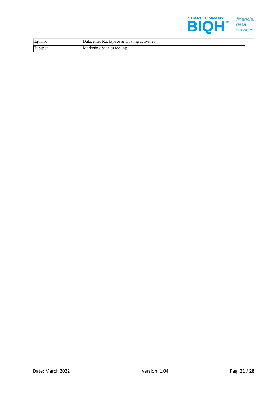

| Equinix | Datacenter Rackspace & Hosting activities |  |
|---------|-------------------------------------------|--|
| Hubspot | Marketing & sales tooling                 |  |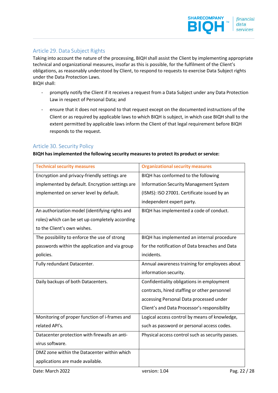## Article 29. Data Subject Rights

Taking into account the nature of the processing, BIQH shall assist the Client by implementing appropriate technical and organizational measures, insofar as this is possible, for the fulfilment of the Client's obligations, as reasonably understood by Client, to respond to requests to exercise Data Subject rights under the Data Protection Laws. BIQH shall:

- promptly notify the Client if it receives a request from a Data Subject under any Data Protection Law in respect of Personal Data; and

ensure that it does not respond to that request except on the documented instructions of the Client or as required by applicable laws to which BIQH is subject, in which case BIQH shall to the extent permitted by applicable laws inform the Client of that legal requirement before BIQH responds to the request.

#### Article 30. Security Policy

BIQH has implemented the following security measures to protect its product or service:

| <b>Technical security measures</b>              | <b>Organizational security measures</b>          |
|-------------------------------------------------|--------------------------------------------------|
| Encryption and privacy-friendly settings are    | BIQH has conformed to the following              |
| implemented by default. Encryption settings are | <b>Information Security Management System</b>    |
| implemented on server level by default.         | (ISMS): ISO 27001. Certificate issued by an      |
|                                                 | independent expert party.                        |
| An authorization model (identifying rights and  | BIQH has implemented a code of conduct.          |
| roles) which can be set up completely according |                                                  |
| to the Client's own wishes.                     |                                                  |
| The possibility to enforce the use of strong    | BIQH has implemented an internal procedure       |
| passwords within the application and via group  | for the notification of Data breaches and Data   |
| policies.                                       | incidents.                                       |
| Fully redundant Datacenter.                     | Annual awareness training for employees about    |
|                                                 | information security.                            |
| Daily backups of both Datacenters.              | Confidentiality obligations in employment        |
|                                                 | contracts, hired staffing or other personnel     |
|                                                 | accessing Personal Data processed under          |
|                                                 | Client's and Data Processor's responsibility     |
| Monitoring of proper function of i-frames and   | Logical access control by means of knowledge,    |
| related API's.                                  | such as password or personal access codes.       |
| Datacenter protection with firewalls an anti-   | Physical access control such as security passes. |
| virus software.                                 |                                                  |
| DMZ zone within the Datacenter within which     |                                                  |
| applications are made available.                |                                                  |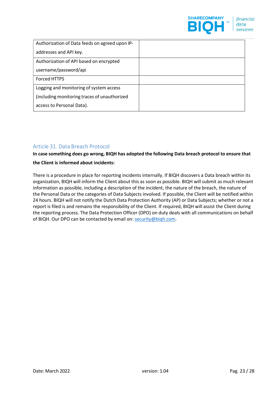

| Authorization of Data feeds on agreed upon IP- |  |
|------------------------------------------------|--|
| addresses and API key.                         |  |
| Authorization of API based on encrypted        |  |
| username/password/api                          |  |
| Forced HTTPS                                   |  |
| Logging and monitoring of system access        |  |
| (including monitoring traces of unauthorized   |  |
| access to Personal Data).                      |  |

## Article 31. Data Breach Protocol

In case something does go wrong, BIQH has adopted the following Data breach protocol to ensure that the Client is informed about incidents:

There is a procedure in place for reporting incidents internally. If BIQH discovers a Data breach within its organization, BIQH will inform the Client about this as soon as possible. BIQH will submit as much relevant information as possible, including a description of the incident, the nature of the breach, the nature of the Personal Data or the categories of Data Subjects involved. If possible, the Client will be notified within 24 hours. BIQH will not notify the Dutch Data Protection Authority (AP) or Data Subjects; whether or not a report is filed is and remains the responsibility of the Client. If required, BIQH will assist the Client during the reporting process. The Data Protection Officer (DPO) on duty deals with all communications on behalf of BIQH. Our DPO can be contacted by email on: security@biqh.com.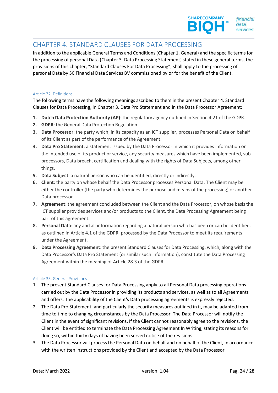# CHAPTER 4. STANDARD CLAUSES FOR DATA PROCESSING

In addition to the applicable General Terms and Conditions (Chapter 1. General) and the specific terms for the processing of personal Data (Chapter 3. Data Processing Statement) stated in these general terms, the provisions of this chapter, "Standard Clauses For Data Processing", shall apply to the processing of personal Data by SC Financial Data Services BV commissioned by or for the benefit of the Client.

#### Article 32. Definitions

The following terms have the following meanings ascribed to them in the present Chapter 4. Standard Clauses for Data Processing, in Chapter 3. Data Pro Statement and in the Data Processor Agreement:

- 1. Dutch Data Protection Authority (AP): the regulatory agency outlined in Section 4.21 of the GDPR.
- 2. GDPR: the General Data Protection Regulation.
- 3. Data Processor: the party which, in its capacity as an ICT supplier, processes Personal Data on behalf of its Client as part of the performance of the Agreement.
- 4. Data Pro Statement: a statement issued by the Data Processor in which it provides information on the intended use of its product or service, any security measures which have been implemented, subprocessors, Data breach, certification and dealing with the rights of Data Subjects, among other things.
- 5. Data Subject: a natural person who can be identified, directly or indirectly.
- 6. Client: the party on whose behalf the Data Processor processes Personal Data. The Client may be either the controller (the party who determines the purpose and means of the processing) or another Data processor.
- 7. Agreement: the agreement concluded between the Client and the Data Processor, on whose basis the ICT supplier provides services and/or products to the Client, the Data Processing Agreement being part of this agreement.
- 8. Personal Data: any and all information regarding a natural person who has been or can be identified, as outlined in Article 4.1 of the GDPR, processed by the Data Processor to meet its requirements under the Agreement.
- 9. Data Processing Agreement: the present Standard Clauses for Data Processing, which, along with the Data Processor's Data Pro Statement (or similar such information), constitute the Data Processing Agreement within the meaning of Article 28.3 of the GDPR.

#### Article 33. General Provisions

- 1. The present Standard Clauses for Data Processing apply to all Personal Data processing operations carried out by the Data Processor in providing its products and services, as well as to all Agreements and offers. The applicability of the Client's Data processing agreements is expressly rejected.
- 2. The Data Pro Statement, and particularly the security measures outlined in it, may be adapted from time to time to changing circumstances by the Data Processor. The Data Processor will notify the Client in the event of significant revisions. If the Client cannot reasonably agree to the revisions, the Client will be entitled to terminate the Data Processing Agreement In Writing, stating its reasons for doing so, within thirty days of having been served notice of the revisions.
- 3. The Data Processor will process the Personal Data on behalf and on behalf of the Client, in accordance with the written instructions provided by the Client and accepted by the Data Processor.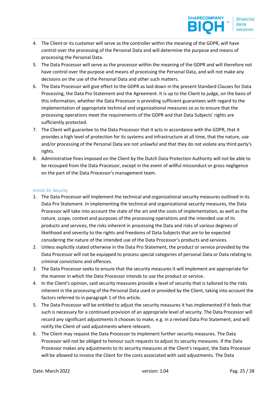- 4. The Client or its customer will serve as the controller within the meaning of the GDPR, will have control over the processing of the Personal Data and will determine the purpose and means of processing the Personal Data.
- 5. The Data Processor will serve as the processor within the meaning of the GDPR and will therefore not have control over the purpose and means of processing the Personal Data, and will not make any decisions on the use of the Personal Data and other such matters.
- 6. The Data Processor will give effect to the GDPR as laid down in the present Standard Clauses for Data Processing, the Data Pro Statement and the Agreement. It is up to the Client to judge, on the basis of this information, whether the Data Processor is providing sufficient guarantees with regard to the implementation of appropriate technical and organizational measures so as to ensure that the processing operations meet the requirements of the GDPR and that Data Subjects' rights are sufficiently protected.
- 7. The Client will guarantee to the Data Processor that it acts in accordance with the GDPR, that it provides a high level of protection for its systems and infrastructure at all time, that the nature, use and/or processing of the Personal Data are not unlawful and that they do not violate any third party's rights.
- 8. Administrative fines imposed on the Client by the Dutch Data Protection Authority will not be able to be recouped from the Data Processor, except in the event of willful misconduct or gross negligence on the part of the Data Processor's management team.

#### Article 34. Security

- 1. The Data Processor will implement the technical and organizational security measures outlined in its Data Pro Statement. In implementing the technical and organizational security measures, the Data Processor will take into account the state of the art and the costs of implementation, as well as the nature, scope, context and purposes of the processing operations and the intended use of its products and services, the risks inherent in processing the Data and risks of various degrees of likelihood and severity to the rights and freedoms of Data Subjects that are to be expected considering the nature of the intended use of the Data Processor's products and services.
- 2. Unless explicitly stated otherwise in the Data Pro Statement, the product or service provided by the Data Processor will not be equipped to process special categories of personal Data or Data relating to criminal convictions and offences.
- 3. The Data Processor seeks to ensure that the security measures it will implement are appropriate for the manner in which the Data Processor intends to use the product or service.
- 4. In the Client's opinion, said security measures provide a level of security that is tailored to the risks inherent in the processing of the Personal Data used or provided by the Client, taking into account the factors referred to in paragraph 1 of this article.
- 5. The Data Processor will be entitled to adjust the security measures it has implemented if it feels that such is necessary for a continued provision of an appropriate level of security. The Data Processor will record any significant adjustments it chooses to make, e.g. in a revised Data Pro Statement, and will notify the Client of said adjustments where relevant.
- 6. The Client may request the Data Processor to implement further security measures. The Data Processor will not be obliged to honour such requests to adjust its security measures. If the Data Processor makes any adjustments to its security measures at the Client's request, the Data Processor will be allowed to invoice the Client for the costs associated with said adjustments. The Data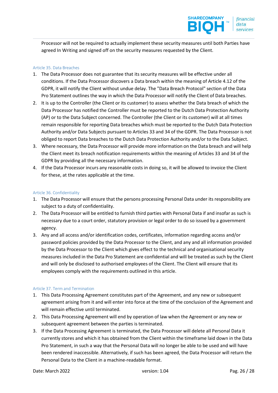Processor will not be required to actually implement these security measures until both Parties have agreed In Writing and signed off on the security measures requested by the Client.

#### Article 35. Data Breaches

- 1. The Data Processor does not guarantee that its security measures will be effective under all conditions. If the Data Processor discovers a Data breach within the meaning of Article 4.12 of the GDPR, it will notify the Client without undue delay. The "Data Breach Protocol" section of the Data Pro Statement outlines the way in which the Data Processor will notify the Client of Data breaches.
- 2. It is up to the Controller (the Client or its customer) to assess whether the Data breach of which the Data Processor has notified the Controller must be reported to the Dutch Data Protection Authority (AP) or to the Data Subject concerned. The Controller (the Client or its customer) will at all times remain responsible for reporting Data breaches which must be reported to the Dutch Data Protection Authority and/or Data Subjects pursuant to Articles 33 and 34 of the GDPR. The Data Processor is not obliged to report Data breaches to the Dutch Data Protection Authority and/or to the Data Subject.
- 3. Where necessary, the Data Processor will provide more information on the Data breach and will help the Client meet its breach notification requirements within the meaning of Articles 33 and 34 of the GDPR by providing all the necessary information.
- 4. If the Data Processor incurs any reasonable costs in doing so, it will be allowed to invoice the Client for these, at the rates applicable at the time.

#### Article 36. Confidentiality

- 1. The Data Processor will ensure that the persons processing Personal Data under its responsibility are subject to a duty of confidentiality.
- 2. The Data Processor will be entitled to furnish third parties with Personal Data if and insofar as such is necessary due to a court order, statutory provision or legal order to do so issued by a government agency.
- 3. Any and all access and/or identification codes, certificates, information regarding access and/or password policies provided by the Data Processor to the Client, and any and all information provided by the Data Processor to the Client which gives effect to the technical and organisational security measures included in the Data Pro Statement are confidential and will be treated as such by the Client and will only be disclosed to authorised employees of the Client. The Client will ensure that its employees comply with the requirements outlined in this article.

#### Article 37. Term and Termination

- 1. This Data Processing Agreement constitutes part of the Agreement, and any new or subsequent agreement arising from it and will enter into force at the time of the conclusion of the Agreement and will remain effective until terminated.
- 2. This Data Processing Agreement will end by operation of law when the Agreement or any new or subsequent agreement between the parties is terminated.
- 3. If the Data Processing Agreement is terminated, the Data Processor will delete all Personal Data it currently stores and which it has obtained from the Client within the timeframe laid down in the Data Pro Statement, in such a way that the Personal Data will no longer be able to be used and will have been rendered inaccessible. Alternatively, if such has been agreed, the Data Processor will return the Personal Data to the Client in a machine-readable format.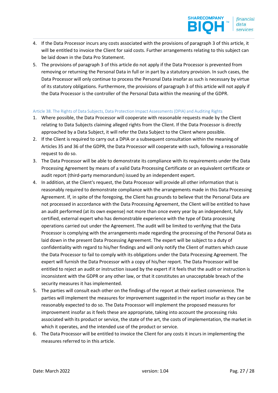- 4. If the Data Processor incurs any costs associated with the provisions of paragraph 3 of this article, it will be entitled to invoice the Client for said costs. Further arrangements relating to this subject can be laid down in the Data Pro Statement.
- 5. The provisions of paragraph 3 of this article do not apply if the Data Processor is prevented from removing or returning the Personal Data in full or in part by a statutory provision. In such cases, the Data Processor will only continue to process the Personal Data insofar as such is necessary by virtue of its statutory obligations. Furthermore, the provisions of paragraph 3 of this article will not apply if the Data Processor is the controller of the Personal Data within the meaning of the GDPR.

#### Article 38. The Rights of Data Subjects, Data Protection Impact Assessments (DPIA) and Auditing Rights

- 1. Where possible, the Data Processor will cooperate with reasonable requests made by the Client relating to Data Subjects claiming alleged rights from the Client. If the Data Processor is directly approached by a Data Subject, it will refer the Data Subject to the Client where possible.
- 2. If the Client is required to carry out a DPIA or a subsequent consultation within the meaning of Articles 35 and 36 of the GDPR, the Data Processor will cooperate with such, following a reasonable request to do so.
- 3. The Data Processor will be able to demonstrate its compliance with its requirements under the Data Processing Agreement by means of a valid Data Processing Certificate or an equivalent certificate or audit report (third-party memorandum) issued by an independent expert.
- 4. In addition, at the Client's request, the Data Processor will provide all other information that is reasonably required to demonstrate compliance with the arrangements made in this Data Processing Agreement. If, in spite of the foregoing, the Client has grounds to believe that the Personal Data are not processed in accordance with the Data Processing Agreement, the Client will be entitled to have an audit performed (at its own expense) not more than once every year by an independent, fully certified, external expert who has demonstrable experience with the type of Data processing operations carried out under the Agreement. The audit will be limited to verifying that the Data Processor is complying with the arrangements made regarding the processing of the Personal Data as laid down in the present Data Processing Agreement. The expert will be subject to a duty of confidentiality with regard to his/her findings and will only notify the Client of matters which cause the Data Processor to fail to comply with its obligations under the Data Processing Agreement. The expert will furnish the Data Processor with a copy of his/her report. The Data Processor will be entitled to reject an audit or instruction issued by the expert if it feels that the audit or instruction is inconsistent with the GDPR or any other law, or that it constitutes an unacceptable breach of the security measures it has implemented.
- 5. The parties will consult each other on the findings of the report at their earliest convenience. The parties will implement the measures for improvement suggested in the report insofar as they can be reasonably expected to do so. The Data Processor will implement the proposed measures for improvement insofar as it feels these are appropriate, taking into account the processing risks associated with its product or service, the state of the art, the costs of implementation, the market in which it operates, and the intended use of the product or service.
- 6. The Data Processor will be entitled to invoice the Client for any costs it incurs in implementing the measures referred to in this article.